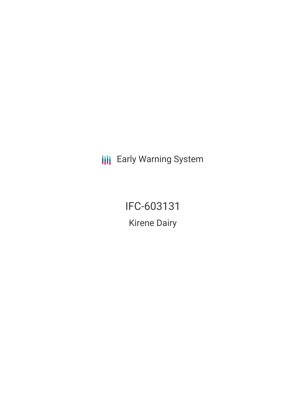**III** Early Warning System

IFC-603131 Kirene Dairy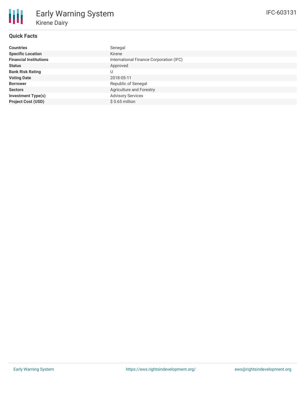# **Quick Facts**

| <b>Countries</b>              | Senegal                                 |
|-------------------------------|-----------------------------------------|
| <b>Specific Location</b>      | Kirene                                  |
| <b>Financial Institutions</b> | International Finance Corporation (IFC) |
| <b>Status</b>                 | Approved                                |
| <b>Bank Risk Rating</b>       | U                                       |
| <b>Voting Date</b>            | 2018-05-11                              |
| <b>Borrower</b>               | Republic of Senegal                     |
| <b>Sectors</b>                | Agriculture and Forestry                |
| <b>Investment Type(s)</b>     | <b>Advisory Services</b>                |
| <b>Project Cost (USD)</b>     | $$0.65$ million                         |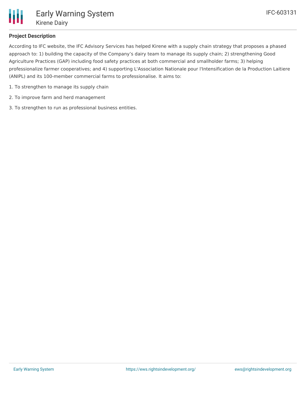

### **Project Description**

According to IFC website, the IFC Advisory Services has helped Kirene with a supply chain strategy that proposes a phased approach to: 1) building the capacity of the Company's dairy team to manage its supply chain; 2) strengthening Good Agriculture Practices (GAP) including food safety practices at both commercial and smallholder farms; 3) helping professionalize farmer cooperatives; and 4) supporting L'Association Nationale pour l'Intensification de la Production Laitiere (ANIPL) and its 100-member commercial farms to professionalise. It aims to:

- 1. To strengthen to manage its supply chain
- 2. To improve farm and herd management
- 3. To strengthen to run as professional business entities.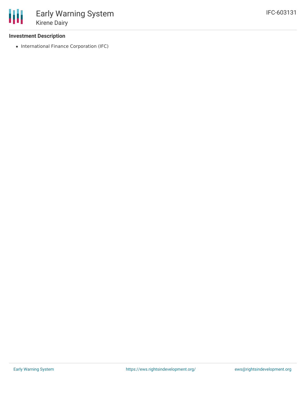### **Investment Description**

• International Finance Corporation (IFC)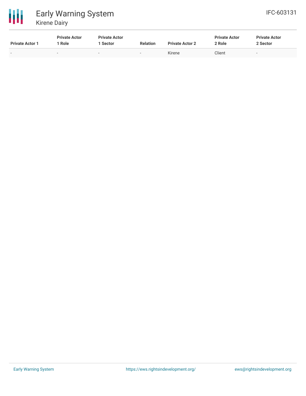

| <b>Private Actor 1</b>   | <b>Private Actor</b><br>Role | <b>Private Actor</b><br><b>Sector</b> | <b>Relation</b>          | <b>Private Actor 2</b> | <b>Private Actor</b><br>2 Role | <b>Private Actor</b><br>2 Sector |
|--------------------------|------------------------------|---------------------------------------|--------------------------|------------------------|--------------------------------|----------------------------------|
| $\overline{\phantom{0}}$ | $\overline{\phantom{a}}$     |                                       | $\overline{\phantom{0}}$ | Kirene                 | Client                         | . .                              |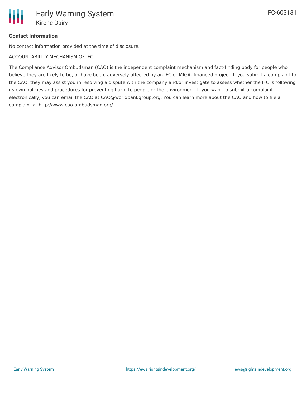# **Contact Information**

No contact information provided at the time of disclosure.

ACCOUNTABILITY MECHANISM OF IFC

The Compliance Advisor Ombudsman (CAO) is the independent complaint mechanism and fact-finding body for people who believe they are likely to be, or have been, adversely affected by an IFC or MIGA- financed project. If you submit a complaint to the CAO, they may assist you in resolving a dispute with the company and/or investigate to assess whether the IFC is following its own policies and procedures for preventing harm to people or the environment. If you want to submit a complaint electronically, you can email the CAO at CAO@worldbankgroup.org. You can learn more about the CAO and how to file a complaint at http://www.cao-ombudsman.org/